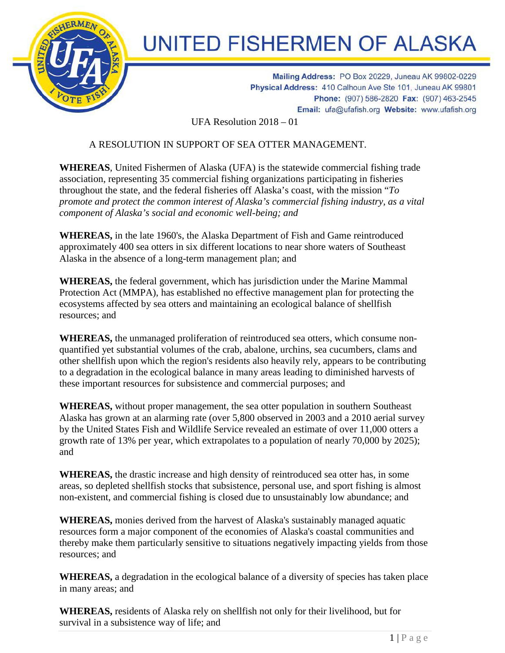

## **UNITED FISHERMEN OF ALASKA**

Mailing Address: PO Box 20229, Juneau AK 99802-0229 Physical Address: 410 Calhoun Ave Ste 101, Juneau AK 99801 Phone: (907) 586-2820 Fax: (907) 463-2545 Email: ufa@ufafish.org Website: www.ufafish.org

UFA Resolution 2018 – 01

## A RESOLUTION IN SUPPORT OF SEA OTTER MANAGEMENT.

**WHEREAS**, United Fishermen of Alaska (UFA) is the statewide commercial fishing trade association, representing 35 commercial fishing organizations participating in fisheries throughout the state, and the federal fisheries off Alaska's coast, with the mission "*To promote and protect the common interest of Alaska's commercial fishing industry, as a vital component of Alaska's social and economic well-being; and*

**WHEREAS,** in the late 1960's, the Alaska Department of Fish and Game reintroduced approximately 400 sea otters in six different locations to near shore waters of Southeast Alaska in the absence of a long-term management plan; and

**WHEREAS,** the federal government, which has jurisdiction under the Marine Mammal Protection Act (MMPA), has established no effective management plan for protecting the ecosystems affected by sea otters and maintaining an ecological balance of shellfish resources; and

**WHEREAS,** the unmanaged proliferation of reintroduced sea otters, which consume nonquantified yet substantial volumes of the crab, abalone, urchins, sea cucumbers, clams and other shellfish upon which the region's residents also heavily rely, appears to be contributing to a degradation in the ecological balance in many areas leading to diminished harvests of these important resources for subsistence and commercial purposes; and

**WHEREAS,** without proper management, the sea otter population in southern Southeast Alaska has grown at an alarming rate (over 5,800 observed in 2003 and a 2010 aerial survey by the United States Fish and Wildlife Service revealed an estimate of over 11,000 otters a growth rate of 13% per year, which extrapolates to a population of nearly 70,000 by 2025); and

**WHEREAS,** the drastic increase and high density of reintroduced sea otter has, in some areas, so depleted shellfish stocks that subsistence, personal use, and sport fishing is almost non-existent, and commercial fishing is closed due to unsustainably low abundance; and

**WHEREAS,** monies derived from the harvest of Alaska's sustainably managed aquatic resources form a major component of the economies of Alaska's coastal communities and thereby make them particularly sensitive to situations negatively impacting yields from those resources; and

**WHEREAS,** a degradation in the ecological balance of a diversity of species has taken place in many areas; and

**WHEREAS,** residents of Alaska rely on shellfish not only for their livelihood, but for survival in a subsistence way of life; and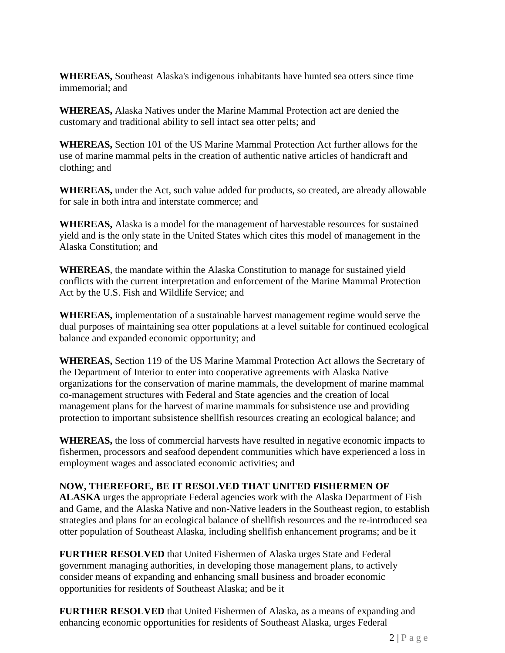**WHEREAS,** Southeast Alaska's indigenous inhabitants have hunted sea otters since time immemorial; and

**WHEREAS,** Alaska Natives under the Marine Mammal Protection act are denied the customary and traditional ability to sell intact sea otter pelts; and

**WHEREAS,** Section 101 of the US Marine Mammal Protection Act further allows for the use of marine mammal pelts in the creation of authentic native articles of handicraft and clothing; and

**WHEREAS,** under the Act, such value added fur products, so created, are already allowable for sale in both intra and interstate commerce; and

**WHEREAS,** Alaska is a model for the management of harvestable resources for sustained yield and is the only state in the United States which cites this model of management in the Alaska Constitution; and

**WHEREAS**, the mandate within the Alaska Constitution to manage for sustained yield conflicts with the current interpretation and enforcement of the Marine Mammal Protection Act by the U.S. Fish and Wildlife Service; and

**WHEREAS,** implementation of a sustainable harvest management regime would serve the dual purposes of maintaining sea otter populations at a level suitable for continued ecological balance and expanded economic opportunity; and

**WHEREAS,** Section 119 of the US Marine Mammal Protection Act allows the Secretary of the Department of Interior to enter into cooperative agreements with Alaska Native organizations for the conservation of marine mammals, the development of marine mammal co-management structures with Federal and State agencies and the creation of local management plans for the harvest of marine mammals for subsistence use and providing protection to important subsistence shellfish resources creating an ecological balance; and

**WHEREAS,** the loss of commercial harvests have resulted in negative economic impacts to fishermen, processors and seafood dependent communities which have experienced a loss in employment wages and associated economic activities; and

## **NOW, THEREFORE, BE IT RESOLVED THAT UNITED FISHERMEN OF**

**ALASKA** urges the appropriate Federal agencies work with the Alaska Department of Fish and Game, and the Alaska Native and non-Native leaders in the Southeast region, to establish strategies and plans for an ecological balance of shellfish resources and the re-introduced sea otter population of Southeast Alaska, including shellfish enhancement programs; and be it

**FURTHER RESOLVED** that United Fishermen of Alaska urges State and Federal government managing authorities, in developing those management plans, to actively consider means of expanding and enhancing small business and broader economic opportunities for residents of Southeast Alaska; and be it

**FURTHER RESOLVED** that United Fishermen of Alaska, as a means of expanding and enhancing economic opportunities for residents of Southeast Alaska, urges Federal